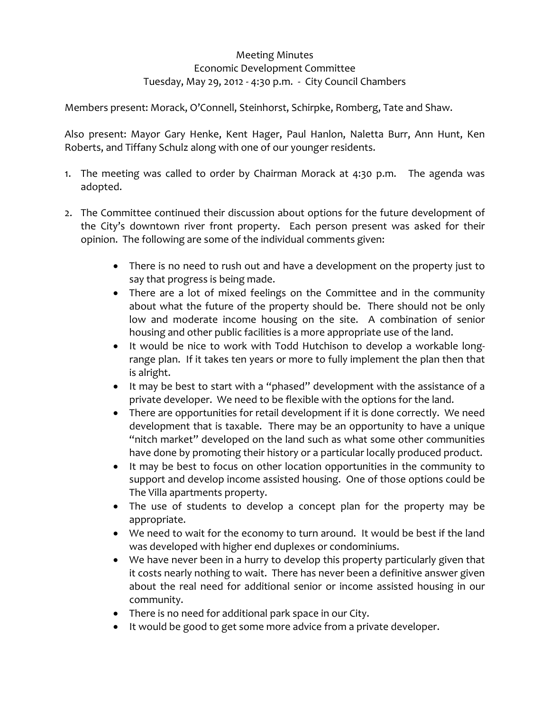## Meeting Minutes Economic Development Committee Tuesday, May 29, 2012 ‐ 4:30 p.m. ‐ City Council Chambers

Members present: Morack, O'Connell, Steinhorst, Schirpke, Romberg, Tate and Shaw.

Also present: Mayor Gary Henke, Kent Hager, Paul Hanlon, Naletta Burr, Ann Hunt, Ken Roberts, and Tiffany Schulz along with one of our younger residents.

- 1. The meeting was called to order by Chairman Morack at  $4:30$  p.m. The agenda was adopted.
- 2. The Committee continued their discussion about options for the future development of the City's downtown river front property. Each person present was asked for their opinion. The following are some of the individual comments given:
	- There is no need to rush out and have a development on the property just to say that progress is being made.
	- There are a lot of mixed feelings on the Committee and in the community about what the future of the property should be. There should not be only low and moderate income housing on the site. A combination of senior housing and other public facilities is a more appropriate use of the land.
	- It would be nice to work with Todd Hutchison to develop a workable long‐ range plan. If it takes ten years or more to fully implement the plan then that is alright.
	- It may be best to start with a "phased" development with the assistance of a private developer. We need to be flexible with the options for the land.
	- There are opportunities for retail development if it is done correctly. We need development that is taxable. There may be an opportunity to have a unique "nitch market" developed on the land such as what some other communities have done by promoting their history or a particular locally produced product.
	- It may be best to focus on other location opportunities in the community to support and develop income assisted housing. One of those options could be The Villa apartments property.
	- The use of students to develop a concept plan for the property may be appropriate.
	- We need to wait for the economy to turn around. It would be best if the land was developed with higher end duplexes or condominiums.
	- We have never been in a hurry to develop this property particularly given that it costs nearly nothing to wait. There has never been a definitive answer given about the real need for additional senior or income assisted housing in our community.
	- There is no need for additional park space in our City.
	- It would be good to get some more advice from a private developer.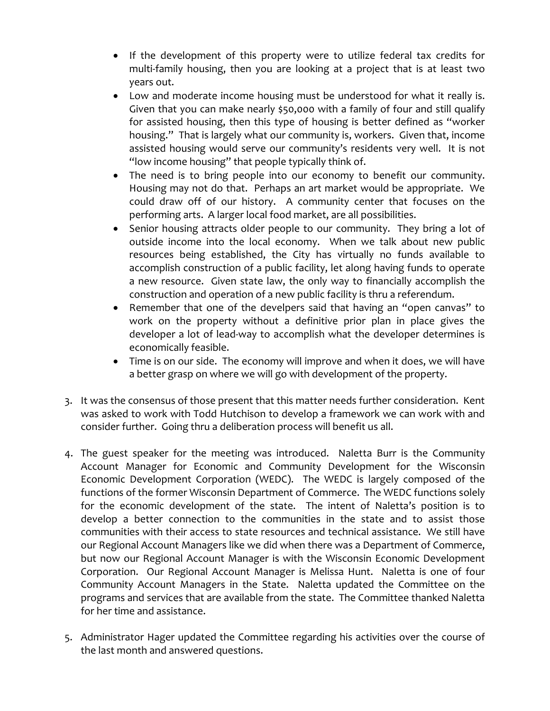- If the development of this property were to utilize federal tax credits for multi-family housing, then you are looking at a project that is at least two years out.
- Low and moderate income housing must be understood for what it really is. Given that you can make nearly \$50,000 with a family of four and still qualify for assisted housing, then this type of housing is better defined as "worker housing." That is largely what our community is, workers. Given that, income assisted housing would serve our community's residents very well. It is not "low income housing" that people typically think of.
- The need is to bring people into our economy to benefit our community. Housing may not do that. Perhaps an art market would be appropriate. We could draw off of our history. A community center that focuses on the performing arts. A larger local food market, are all possibilities.
- Senior housing attracts older people to our community. They bring a lot of outside income into the local economy. When we talk about new public resources being established, the City has virtually no funds available to accomplish construction of a public facility, let along having funds to operate a new resource. Given state law, the only way to financially accomplish the construction and operation of a new public facility is thru a referendum.
- Remember that one of the develpers said that having an "open canvas" to work on the property without a definitive prior plan in place gives the developer a lot of lead‐way to accomplish what the developer determines is economically feasible.
- Time is on our side. The economy will improve and when it does, we will have a better grasp on where we will go with development of the property.
- 3. It was the consensus of those present that this matter needs further consideration. Kent was asked to work with Todd Hutchison to develop a framework we can work with and consider further. Going thru a deliberation process will benefit us all.
- 4. The guest speaker for the meeting was introduced. Naletta Burr is the Community Account Manager for Economic and Community Development for the Wisconsin Economic Development Corporation (WEDC). The WEDC is largely composed of the functions of the former Wisconsin Department of Commerce. The WEDC functions solely for the economic development of the state. The intent of Naletta's position is to develop a better connection to the communities in the state and to assist those communities with their access to state resources and technical assistance. We still have our Regional Account Managers like we did when there was a Department of Commerce, but now our Regional Account Manager is with the Wisconsin Economic Development Corporation. Our Regional Account Manager is Melissa Hunt. Naletta is one of four Community Account Managers in the State. Naletta updated the Committee on the programs and services that are available from the state. The Committee thanked Naletta for her time and assistance.
- 5. Administrator Hager updated the Committee regarding his activities over the course of the last month and answered questions.